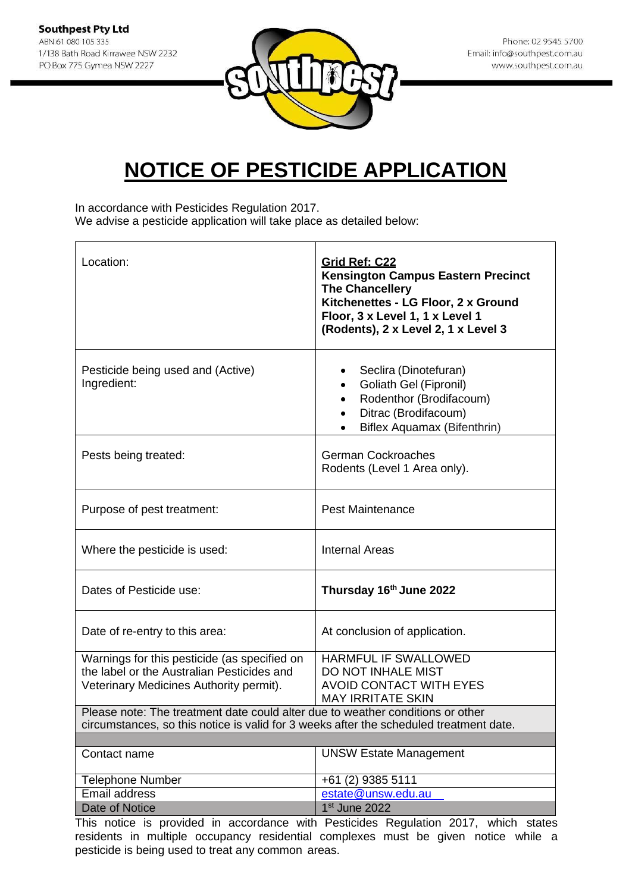

## **NOTICE OF PESTICIDE APPLICATION**

In accordance with Pesticides Regulation 2017.

We advise a pesticide application will take place as detailed below:

| Location:                                                                                                                                                                | <b>Grid Ref: C22</b><br><b>Kensington Campus Eastern Precinct</b><br><b>The Chancellery</b><br>Kitchenettes - LG Floor, 2 x Ground<br>Floor, 3 x Level 1, 1 x Level 1<br>(Rodents), 2 x Level 2, 1 x Level 3 |  |
|--------------------------------------------------------------------------------------------------------------------------------------------------------------------------|--------------------------------------------------------------------------------------------------------------------------------------------------------------------------------------------------------------|--|
| Pesticide being used and (Active)<br>Ingredient:                                                                                                                         | Seclira (Dinotefuran)<br><b>Goliath Gel (Fipronil)</b><br>$\bullet$<br>Rodenthor (Brodifacoum)<br>Ditrac (Brodifacoum)<br>Biflex Aquamax (Bifenthrin)                                                        |  |
| Pests being treated:                                                                                                                                                     | <b>German Cockroaches</b><br>Rodents (Level 1 Area only).                                                                                                                                                    |  |
| Purpose of pest treatment:                                                                                                                                               | <b>Pest Maintenance</b>                                                                                                                                                                                      |  |
| Where the pesticide is used:                                                                                                                                             | <b>Internal Areas</b>                                                                                                                                                                                        |  |
| Dates of Pesticide use:                                                                                                                                                  | Thursday 16th June 2022                                                                                                                                                                                      |  |
| Date of re-entry to this area:                                                                                                                                           | At conclusion of application.                                                                                                                                                                                |  |
| Warnings for this pesticide (as specified on<br>the label or the Australian Pesticides and<br>Veterinary Medicines Authority permit).                                    | <b>HARMFUL IF SWALLOWED</b><br>DO NOT INHALE MIST<br>AVOID CONTACT WITH EYES<br><b>MAY IRRITATE SKIN</b>                                                                                                     |  |
| Please note: The treatment date could alter due to weather conditions or other<br>circumstances, so this notice is valid for 3 weeks after the scheduled treatment date. |                                                                                                                                                                                                              |  |
|                                                                                                                                                                          |                                                                                                                                                                                                              |  |
| Contact name                                                                                                                                                             | <b>UNSW Estate Management</b>                                                                                                                                                                                |  |
| <b>Telephone Number</b>                                                                                                                                                  | +61 (2) 9385 5111                                                                                                                                                                                            |  |
| <b>Email address</b>                                                                                                                                                     | estate@unsw.edu.au                                                                                                                                                                                           |  |
| <b>Date of Notice</b>                                                                                                                                                    | 1 <sup>st</sup> June 2022                                                                                                                                                                                    |  |

This notice is provided in accordance with Pesticides Regulation 2017, which states residents in multiple occupancy residential complexes must be given notice while a pesticide is being used to treat any common areas.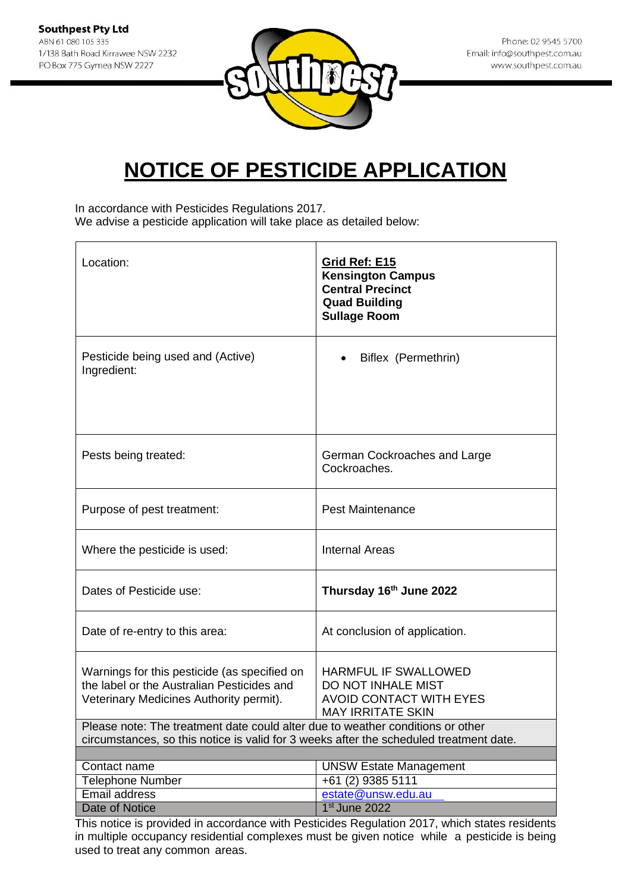

## **NOTICE OF PESTICIDE APPLICATION**

In accordance with Pesticides Regulations 2017. We advise a pesticide application will take place as detailed below:

| Location:                                                                                                                             | Grid Ref: E15<br><b>Kensington Campus</b><br><b>Central Precinct</b><br><b>Quad Building</b><br><b>Sullage Room</b> |  |
|---------------------------------------------------------------------------------------------------------------------------------------|---------------------------------------------------------------------------------------------------------------------|--|
| Pesticide being used and (Active)<br>Ingredient:                                                                                      | Biflex (Permethrin)                                                                                                 |  |
| Pests being treated:                                                                                                                  | German Cockroaches and Large<br>Cockroaches.                                                                        |  |
| Purpose of pest treatment:                                                                                                            | <b>Pest Maintenance</b>                                                                                             |  |
| Where the pesticide is used:                                                                                                          | <b>Internal Areas</b>                                                                                               |  |
| Dates of Pesticide use:                                                                                                               | Thursday 16th June 2022                                                                                             |  |
| Date of re-entry to this area:                                                                                                        | At conclusion of application.                                                                                       |  |
| Warnings for this pesticide (as specified on<br>the label or the Australian Pesticides and<br>Veterinary Medicines Authority permit). | HARMFUL IF SWALLOWED<br>DO NOT INHALE MIST<br><b>AVOID CONTACT WITH EYES</b><br><b>MAY IRRITATE SKIN</b>            |  |
| Please note: The treatment date could alter due to weather conditions or other                                                        |                                                                                                                     |  |
| circumstances, so this notice is valid for 3 weeks after the scheduled treatment date.                                                |                                                                                                                     |  |
| Contact name                                                                                                                          | <b>UNSW Estate Management</b>                                                                                       |  |
| <b>Telephone Number</b>                                                                                                               | +61 (2) 9385 5111                                                                                                   |  |
| Email address                                                                                                                         | estate@unsw.edu.au                                                                                                  |  |
| <b>Date of Notice</b><br>This notice is provided in accordance with Pesticides Pequilation 2017, which states residents               | 1 <sup>st</sup> June 2022                                                                                           |  |

This notice is provided in accordance with Pesticides Regulation 2017, which states residents in multiple occupancy residential complexes must be given notice while a pesticide is being used to treat any common areas.